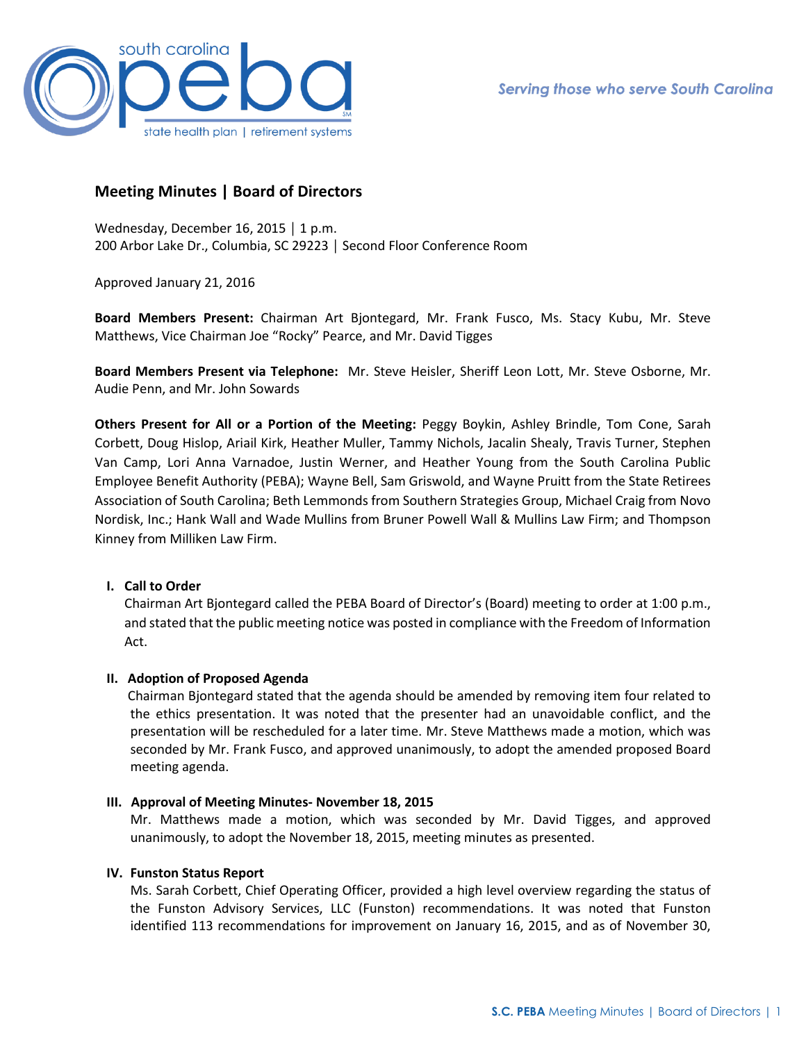

# **Meeting Minutes | Board of Directors**

Wednesday, December 16, 2015 │ 1 p.m. 200 Arbor Lake Dr., Columbia, SC 29223 │ Second Floor Conference Room

Approved January 21, 2016

**Board Members Present:** Chairman Art Bjontegard, Mr. Frank Fusco, Ms. Stacy Kubu, Mr. Steve Matthews, Vice Chairman Joe "Rocky" Pearce, and Mr. David Tigges

**Board Members Present via Telephone:** Mr. Steve Heisler, Sheriff Leon Lott, Mr. Steve Osborne, Mr. Audie Penn, and Mr. John Sowards

**Others Present for All or a Portion of the Meeting:** Peggy Boykin, Ashley Brindle, Tom Cone, Sarah Corbett, Doug Hislop, Ariail Kirk, Heather Muller, Tammy Nichols, Jacalin Shealy, Travis Turner, Stephen Van Camp, Lori Anna Varnadoe, Justin Werner, and Heather Young from the South Carolina Public Employee Benefit Authority (PEBA); Wayne Bell, Sam Griswold, and Wayne Pruitt from the State Retirees Association of South Carolina; Beth Lemmonds from Southern Strategies Group, Michael Craig from Novo Nordisk, Inc.; Hank Wall and Wade Mullins from Bruner Powell Wall & Mullins Law Firm; and Thompson Kinney from Milliken Law Firm.

# **I. Call to Order**

Chairman Art Bjontegard called the PEBA Board of Director's (Board) meeting to order at 1:00 p.m., and stated that the public meeting notice was posted in compliance with the Freedom of Information Act.

## **II. Adoption of Proposed Agenda**

Chairman Bjontegard stated that the agenda should be amended by removing item four related to the ethics presentation. It was noted that the presenter had an unavoidable conflict, and the presentation will be rescheduled for a later time. Mr. Steve Matthews made a motion, which was seconded by Mr. Frank Fusco, and approved unanimously, to adopt the amended proposed Board meeting agenda.

## **III. Approval of Meeting Minutes- November 18, 2015**

Mr. Matthews made a motion, which was seconded by Mr. David Tigges, and approved unanimously, to adopt the November 18, 2015, meeting minutes as presented.

## **IV. Funston Status Report**

Ms. Sarah Corbett, Chief Operating Officer, provided a high level overview regarding the status of the Funston Advisory Services, LLC (Funston) recommendations. It was noted that Funston identified 113 recommendations for improvement on January 16, 2015, and as of November 30,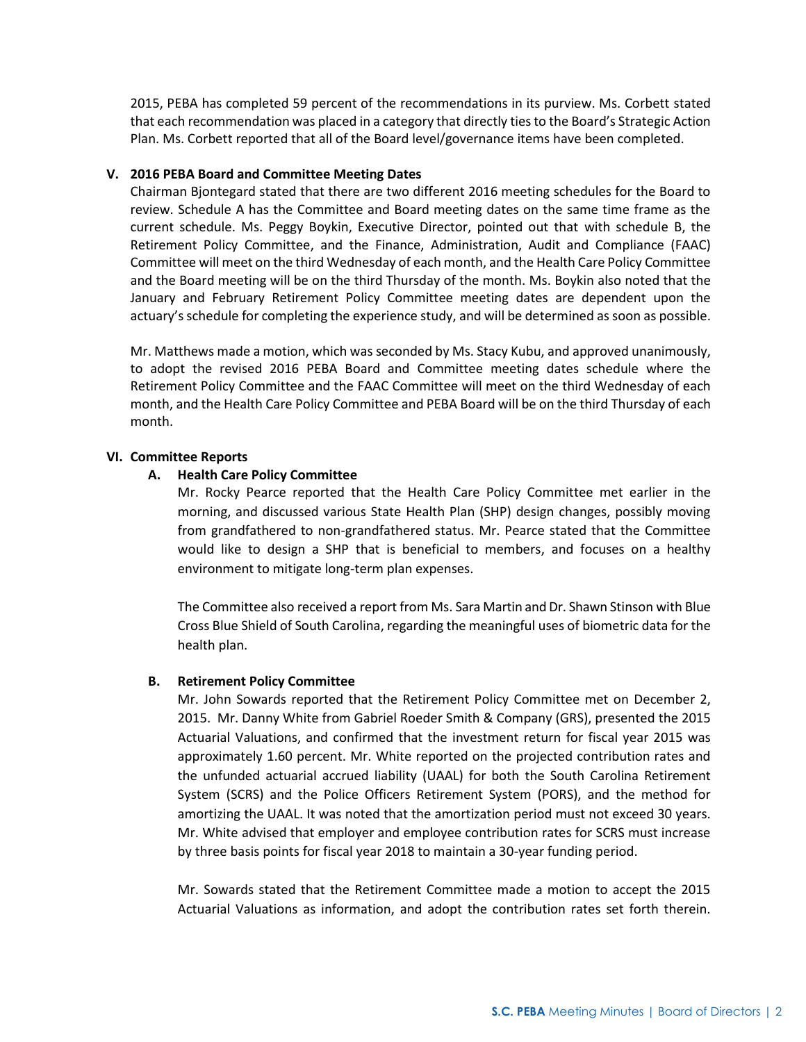2015, PEBA has completed 59 percent of the recommendations in its purview. Ms. Corbett stated that each recommendation was placed in a category that directly ties to the Board's Strategic Action Plan. Ms. Corbett reported that all of the Board level/governance items have been completed.

## **V. 2016 PEBA Board and Committee Meeting Dates**

Chairman Bjontegard stated that there are two different 2016 meeting schedules for the Board to review. Schedule A has the Committee and Board meeting dates on the same time frame as the current schedule. Ms. Peggy Boykin, Executive Director, pointed out that with schedule B, the Retirement Policy Committee, and the Finance, Administration, Audit and Compliance (FAAC) Committee will meet on the third Wednesday of each month, and the Health Care Policy Committee and the Board meeting will be on the third Thursday of the month. Ms. Boykin also noted that the January and February Retirement Policy Committee meeting dates are dependent upon the actuary's schedule for completing the experience study, and will be determined as soon as possible.

Mr. Matthews made a motion, which was seconded by Ms. Stacy Kubu, and approved unanimously, to adopt the revised 2016 PEBA Board and Committee meeting dates schedule where the Retirement Policy Committee and the FAAC Committee will meet on the third Wednesday of each month, and the Health Care Policy Committee and PEBA Board will be on the third Thursday of each month.

#### **VI. Committee Reports**

#### **A. Health Care Policy Committee**

Mr. Rocky Pearce reported that the Health Care Policy Committee met earlier in the morning, and discussed various State Health Plan (SHP) design changes, possibly moving from grandfathered to non-grandfathered status. Mr. Pearce stated that the Committee would like to design a SHP that is beneficial to members, and focuses on a healthy environment to mitigate long-term plan expenses.

The Committee also received a report from Ms. Sara Martin and Dr. Shawn Stinson with Blue Cross Blue Shield of South Carolina, regarding the meaningful uses of biometric data for the health plan.

## **B. Retirement Policy Committee**

Mr. John Sowards reported that the Retirement Policy Committee met on December 2, 2015. Mr. Danny White from Gabriel Roeder Smith & Company (GRS), presented the 2015 Actuarial Valuations, and confirmed that the investment return for fiscal year 2015 was approximately 1.60 percent. Mr. White reported on the projected contribution rates and the unfunded actuarial accrued liability (UAAL) for both the South Carolina Retirement System (SCRS) and the Police Officers Retirement System (PORS), and the method for amortizing the UAAL. It was noted that the amortization period must not exceed 30 years. Mr. White advised that employer and employee contribution rates for SCRS must increase by three basis points for fiscal year 2018 to maintain a 30-year funding period.

Mr. Sowards stated that the Retirement Committee made a motion to accept the 2015 Actuarial Valuations as information, and adopt the contribution rates set forth therein.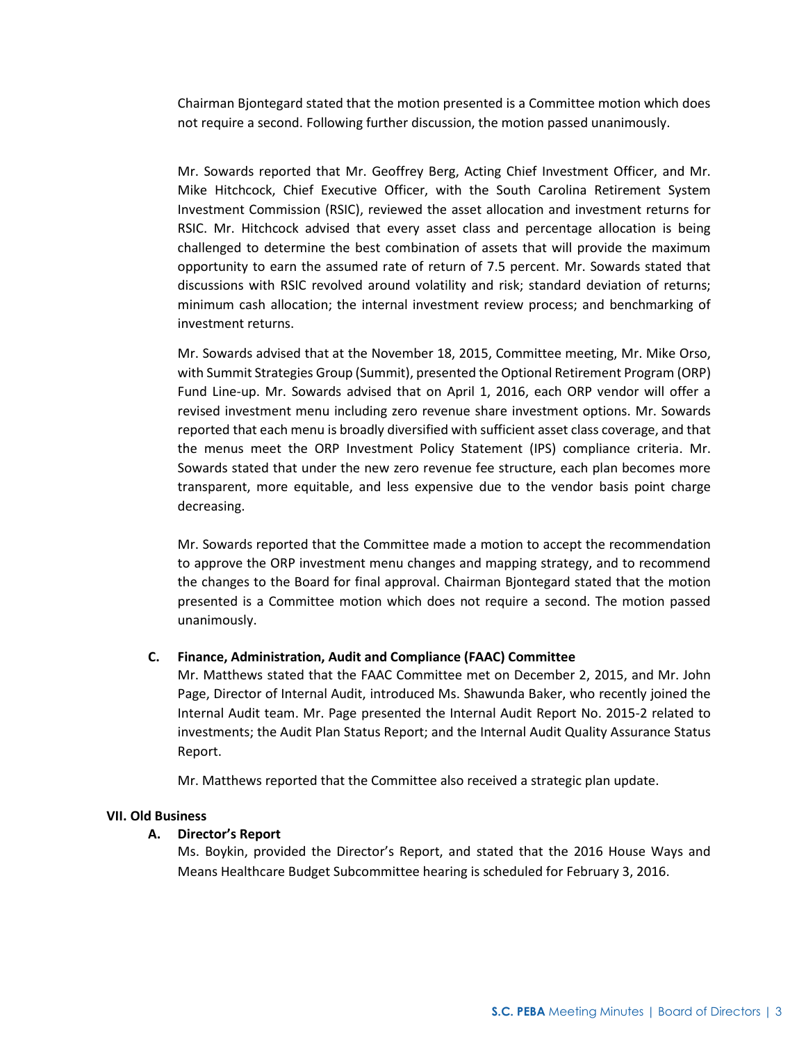Chairman Bjontegard stated that the motion presented is a Committee motion which does not require a second. Following further discussion, the motion passed unanimously.

Mr. Sowards reported that Mr. Geoffrey Berg, Acting Chief Investment Officer, and Mr. Mike Hitchcock, Chief Executive Officer, with the South Carolina Retirement System Investment Commission (RSIC), reviewed the asset allocation and investment returns for RSIC. Mr. Hitchcock advised that every asset class and percentage allocation is being challenged to determine the best combination of assets that will provide the maximum opportunity to earn the assumed rate of return of 7.5 percent. Mr. Sowards stated that discussions with RSIC revolved around volatility and risk; standard deviation of returns; minimum cash allocation; the internal investment review process; and benchmarking of investment returns.

Mr. Sowards advised that at the November 18, 2015, Committee meeting, Mr. Mike Orso, with Summit Strategies Group (Summit), presented the Optional Retirement Program (ORP) Fund Line-up. Mr. Sowards advised that on April 1, 2016, each ORP vendor will offer a revised investment menu including zero revenue share investment options. Mr. Sowards reported that each menu is broadly diversified with sufficient asset class coverage, and that the menus meet the ORP Investment Policy Statement (IPS) compliance criteria. Mr. Sowards stated that under the new zero revenue fee structure, each plan becomes more transparent, more equitable, and less expensive due to the vendor basis point charge decreasing.

Mr. Sowards reported that the Committee made a motion to accept the recommendation to approve the ORP investment menu changes and mapping strategy, and to recommend the changes to the Board for final approval. Chairman Bjontegard stated that the motion presented is a Committee motion which does not require a second. The motion passed unanimously.

## **C. Finance, Administration, Audit and Compliance (FAAC) Committee**

Mr. Matthews stated that the FAAC Committee met on December 2, 2015, and Mr. John Page, Director of Internal Audit, introduced Ms. Shawunda Baker, who recently joined the Internal Audit team. Mr. Page presented the Internal Audit Report No. 2015-2 related to investments; the Audit Plan Status Report; and the Internal Audit Quality Assurance Status Report.

Mr. Matthews reported that the Committee also received a strategic plan update.

#### **VII. Old Business**

#### **A. Director's Report**

Ms. Boykin, provided the Director's Report, and stated that the 2016 House Ways and Means Healthcare Budget Subcommittee hearing is scheduled for February 3, 2016.